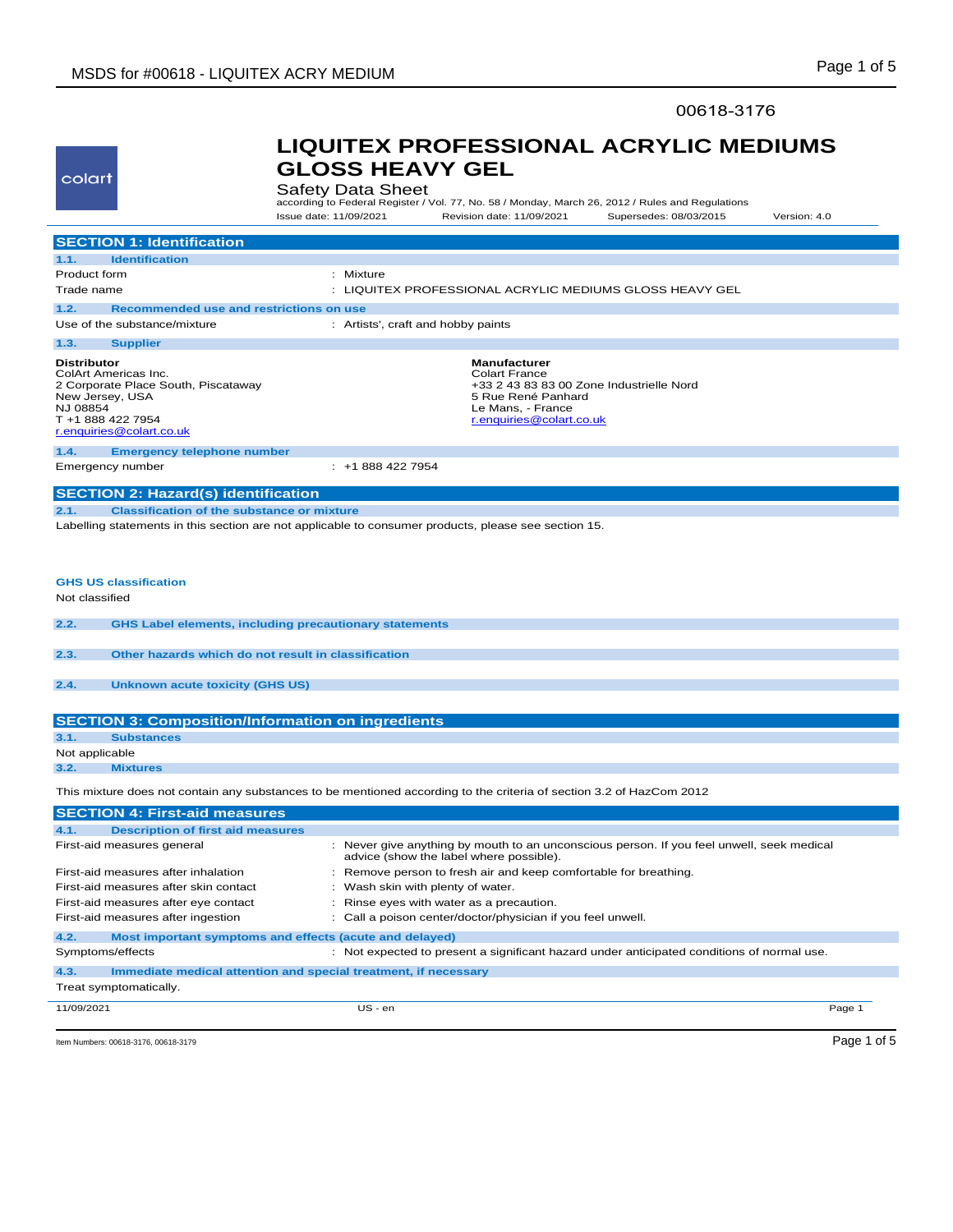## 00618-3176

| colart                                                                                                                                                                                                                                                                                                                                                 | <b>GLOSS HEAVY GEL</b><br><b>Safety Data Sheet</b><br>according to Federal Register / Vol. 77, No. 58 / Monday, March 26, 2012 / Rules and Regulations         |
|--------------------------------------------------------------------------------------------------------------------------------------------------------------------------------------------------------------------------------------------------------------------------------------------------------------------------------------------------------|----------------------------------------------------------------------------------------------------------------------------------------------------------------|
|                                                                                                                                                                                                                                                                                                                                                        | Issue date: 11/09/2021<br>Revision date: 11/09/2021<br>Supersedes: 08/03/2015<br>Version: 4.0                                                                  |
| <b>SECTION 1: Identification</b>                                                                                                                                                                                                                                                                                                                       |                                                                                                                                                                |
| 1.1.<br><b>Identification</b>                                                                                                                                                                                                                                                                                                                          |                                                                                                                                                                |
| Product form                                                                                                                                                                                                                                                                                                                                           | : Mixture                                                                                                                                                      |
| Trade name                                                                                                                                                                                                                                                                                                                                             | : LIQUITEX PROFESSIONAL ACRYLIC MEDIUMS GLOSS HEAVY GEL                                                                                                        |
| Recommended use and restrictions on use<br>1.2.                                                                                                                                                                                                                                                                                                        |                                                                                                                                                                |
| Use of the substance/mixture                                                                                                                                                                                                                                                                                                                           | : Artists', craft and hobby paints                                                                                                                             |
| 1.3.<br><b>Supplier</b>                                                                                                                                                                                                                                                                                                                                |                                                                                                                                                                |
| <b>Distributor</b><br>ColArt Americas Inc.<br>2 Corporate Place South, Piscataway<br>New Jersey, USA<br>NJ 08854<br>T +1 888 422 7954<br>r.enquiries@colart.co.uk                                                                                                                                                                                      | <b>Manufacturer</b><br><b>Colart France</b><br>+33 2 43 83 83 00 Zone Industrielle Nord<br>5 Rue René Panhard<br>Le Mans, - France<br>r.enquiries@colart.co.uk |
| 1.4.                                                                                                                                                                                                                                                                                                                                                   |                                                                                                                                                                |
| <b>Emergency telephone number</b><br>Emergency number                                                                                                                                                                                                                                                                                                  | $: +18884227954$                                                                                                                                               |
|                                                                                                                                                                                                                                                                                                                                                        |                                                                                                                                                                |
| <b>SECTION 2: Hazard(s) identification</b>                                                                                                                                                                                                                                                                                                             |                                                                                                                                                                |
| 2.1.<br><b>Classification of the substance or mixture</b>                                                                                                                                                                                                                                                                                              |                                                                                                                                                                |
|                                                                                                                                                                                                                                                                                                                                                        |                                                                                                                                                                |
|                                                                                                                                                                                                                                                                                                                                                        | Labelling statements in this section are not applicable to consumer products, please see section 15.                                                           |
|                                                                                                                                                                                                                                                                                                                                                        | <b>GHS Label elements, including precautionary statements</b>                                                                                                  |
| <b>GHS US classification</b><br>Not classified<br>2.2.<br>2.3.<br>Other hazards which do not result in classification                                                                                                                                                                                                                                  |                                                                                                                                                                |
| <b>Unknown acute toxicity (GHS US)</b>                                                                                                                                                                                                                                                                                                                 |                                                                                                                                                                |
|                                                                                                                                                                                                                                                                                                                                                        |                                                                                                                                                                |
| <b>Substances</b>                                                                                                                                                                                                                                                                                                                                      |                                                                                                                                                                |
|                                                                                                                                                                                                                                                                                                                                                        |                                                                                                                                                                |
| <b>Mixtures</b>                                                                                                                                                                                                                                                                                                                                        |                                                                                                                                                                |
|                                                                                                                                                                                                                                                                                                                                                        | This mixture does not contain any substances to be mentioned according to the criteria of section 3.2 of HazCom 2012                                           |
|                                                                                                                                                                                                                                                                                                                                                        |                                                                                                                                                                |
|                                                                                                                                                                                                                                                                                                                                                        |                                                                                                                                                                |
| <b>Description of first aid measures</b>                                                                                                                                                                                                                                                                                                               | : Never give anything by mouth to an unconscious person. If you feel unwell, seek medical                                                                      |
|                                                                                                                                                                                                                                                                                                                                                        | advice (show the label where possible).                                                                                                                        |
|                                                                                                                                                                                                                                                                                                                                                        | Remove person to fresh air and keep comfortable for breathing.<br>÷.                                                                                           |
|                                                                                                                                                                                                                                                                                                                                                        | Wash skin with plenty of water.                                                                                                                                |
|                                                                                                                                                                                                                                                                                                                                                        | Rinse eyes with water as a precaution.                                                                                                                         |
|                                                                                                                                                                                                                                                                                                                                                        | Call a poison center/doctor/physician if you feel unwell.                                                                                                      |
| 2.4.<br><b>SECTION 3: Composition/Information on ingredients</b><br>3.1.<br>Not applicable<br>3.2.<br><b>SECTION 4: First-aid measures</b><br>4.1.<br>First-aid measures general<br>First-aid measures after inhalation<br>First-aid measures after skin contact<br>First-aid measures after eye contact<br>First-aid measures after ingestion<br>4.2. | Most important symptoms and effects (acute and delayed)                                                                                                        |
| Symptoms/effects                                                                                                                                                                                                                                                                                                                                       | : Not expected to present a significant hazard under anticipated conditions of normal use.                                                                     |
| 4.3.<br>Treat symptomatically.                                                                                                                                                                                                                                                                                                                         | Immediate medical attention and special treatment, if necessary                                                                                                |
| 11/09/2021                                                                                                                                                                                                                                                                                                                                             | $US - en$<br>Page 1                                                                                                                                            |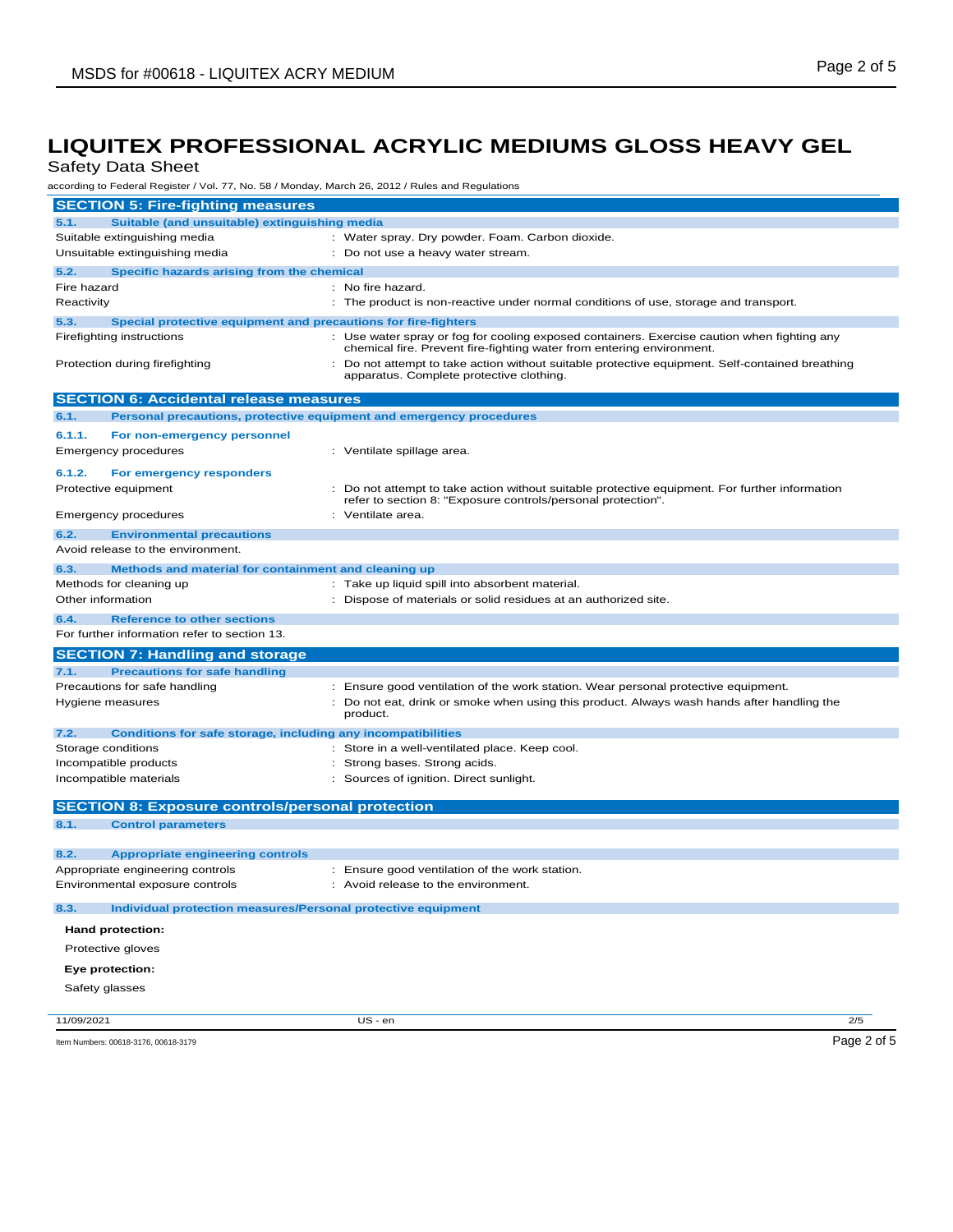Safety Data Sheet

according to Federal Register / Vol. 77, No. 58 / Monday, March 26, 2012 / Rules and Regulations

| <b>SECTION 5: Fire-fighting measures</b>                                    |                                                                                                                                                                      |  |  |  |
|-----------------------------------------------------------------------------|----------------------------------------------------------------------------------------------------------------------------------------------------------------------|--|--|--|
| Suitable (and unsuitable) extinguishing media<br>5.1.                       |                                                                                                                                                                      |  |  |  |
| Suitable extinguishing media                                                | : Water spray. Dry powder. Foam. Carbon dioxide.                                                                                                                     |  |  |  |
| Unsuitable extinguishing media                                              | : Do not use a heavy water stream.                                                                                                                                   |  |  |  |
| 5.2.<br>Specific hazards arising from the chemical                          |                                                                                                                                                                      |  |  |  |
| Fire hazard                                                                 | : No fire hazard.                                                                                                                                                    |  |  |  |
| Reactivity                                                                  | : The product is non-reactive under normal conditions of use, storage and transport.                                                                                 |  |  |  |
| 5.3.<br>Special protective equipment and precautions for fire-fighters      |                                                                                                                                                                      |  |  |  |
| Firefighting instructions                                                   | : Use water spray or fog for cooling exposed containers. Exercise caution when fighting any<br>chemical fire. Prevent fire-fighting water from entering environment. |  |  |  |
| Protection during firefighting                                              | : Do not attempt to take action without suitable protective equipment. Self-contained breathing<br>apparatus. Complete protective clothing.                          |  |  |  |
| <b>SECTION 6: Accidental release measures</b>                               |                                                                                                                                                                      |  |  |  |
| Personal precautions, protective equipment and emergency procedures<br>6.1. |                                                                                                                                                                      |  |  |  |
| 6.1.1.<br>For non-emergency personnel                                       |                                                                                                                                                                      |  |  |  |
| <b>Emergency procedures</b>                                                 | : Ventilate spillage area.                                                                                                                                           |  |  |  |
| 6.1.2.<br>For emergency responders                                          |                                                                                                                                                                      |  |  |  |
| Protective equipment                                                        | : Do not attempt to take action without suitable protective equipment. For further information                                                                       |  |  |  |
|                                                                             | refer to section 8: "Exposure controls/personal protection".                                                                                                         |  |  |  |
| <b>Emergency procedures</b>                                                 | : Ventilate area.                                                                                                                                                    |  |  |  |
| 6.2.<br><b>Environmental precautions</b>                                    |                                                                                                                                                                      |  |  |  |
| Avoid release to the environment.                                           |                                                                                                                                                                      |  |  |  |
| Methods and material for containment and cleaning up<br>6.3.                |                                                                                                                                                                      |  |  |  |
| Methods for cleaning up                                                     | : Take up liquid spill into absorbent material.                                                                                                                      |  |  |  |
| Other information                                                           | : Dispose of materials or solid residues at an authorized site.                                                                                                      |  |  |  |
| 6.4.<br><b>Reference to other sections</b>                                  |                                                                                                                                                                      |  |  |  |
| For further information refer to section 13.                                |                                                                                                                                                                      |  |  |  |
| <b>SECTION 7: Handling and storage</b>                                      |                                                                                                                                                                      |  |  |  |
| <b>Precautions for safe handling</b><br>7.1.                                |                                                                                                                                                                      |  |  |  |
| Precautions for safe handling                                               | : Ensure good ventilation of the work station. Wear personal protective equipment.                                                                                   |  |  |  |
| Hygiene measures                                                            | : Do not eat, drink or smoke when using this product. Always wash hands after handling the                                                                           |  |  |  |
|                                                                             | product.                                                                                                                                                             |  |  |  |
| 7.2.<br>Conditions for safe storage, including any incompatibilities        |                                                                                                                                                                      |  |  |  |
| Storage conditions                                                          | : Store in a well-ventilated place. Keep cool.                                                                                                                       |  |  |  |
| Incompatible products                                                       | : Strong bases. Strong acids.                                                                                                                                        |  |  |  |
| Incompatible materials                                                      | : Sources of ignition. Direct sunlight.                                                                                                                              |  |  |  |
| <b>SECTION 8: Exposure controls/personal protection</b>                     |                                                                                                                                                                      |  |  |  |
| 8.1.<br><b>Control parameters</b>                                           |                                                                                                                                                                      |  |  |  |
|                                                                             |                                                                                                                                                                      |  |  |  |
|                                                                             |                                                                                                                                                                      |  |  |  |
| 8.2.<br><b>Appropriate engineering controls</b>                             |                                                                                                                                                                      |  |  |  |
| Appropriate engineering controls                                            | : Ensure good ventilation of the work station.                                                                                                                       |  |  |  |
| Environmental exposure controls                                             | Avoid release to the environment.                                                                                                                                    |  |  |  |
| 8.3.<br>Individual protection measures/Personal protective equipment        |                                                                                                                                                                      |  |  |  |
| <b>Hand protection:</b>                                                     |                                                                                                                                                                      |  |  |  |
| Protective gloves                                                           |                                                                                                                                                                      |  |  |  |
| Eye protection:                                                             |                                                                                                                                                                      |  |  |  |
| Safety glasses                                                              |                                                                                                                                                                      |  |  |  |
|                                                                             |                                                                                                                                                                      |  |  |  |
| 11/09/2021                                                                  | 2/5<br>US - en<br>Page 2 of 5                                                                                                                                        |  |  |  |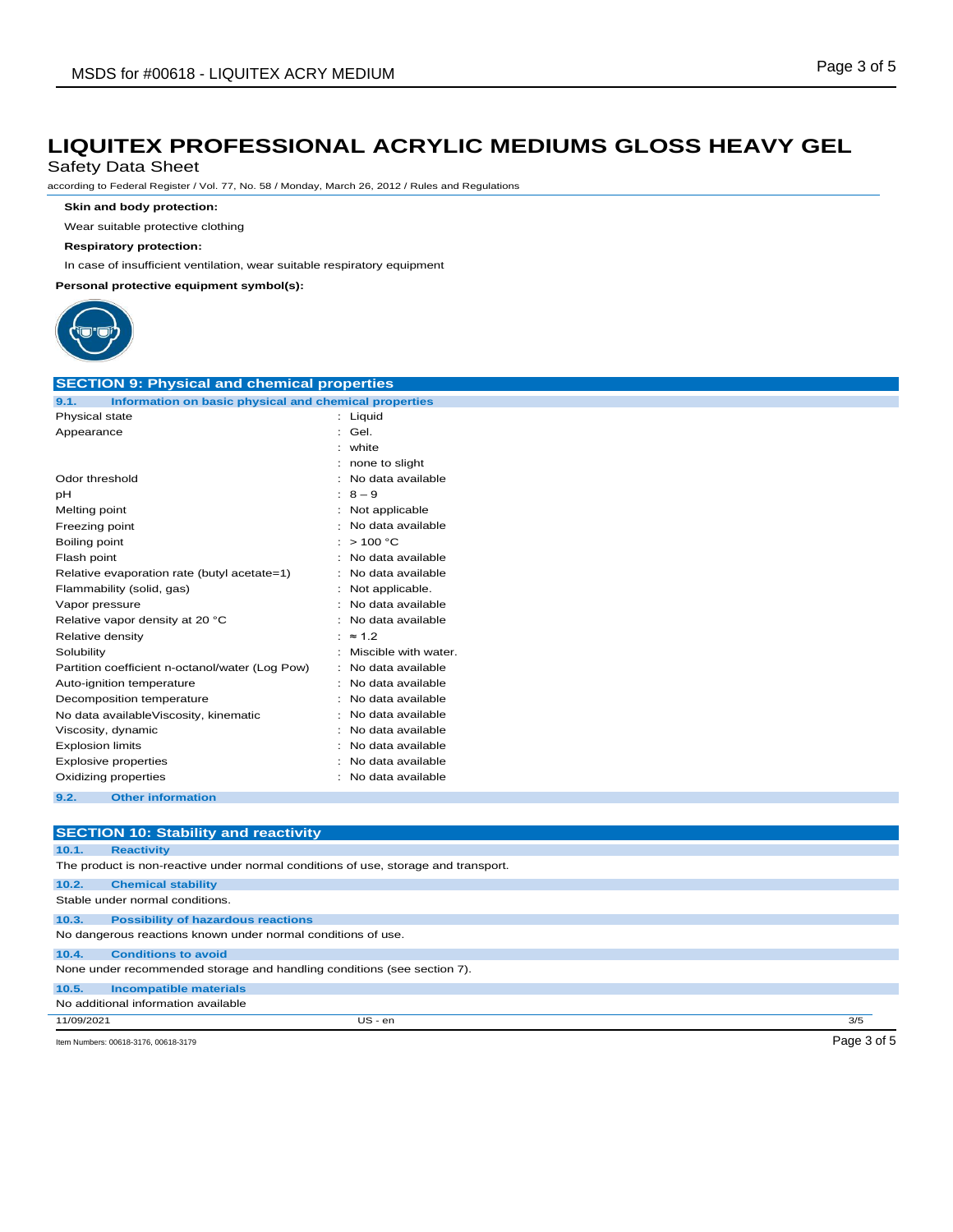Safety Data Sheet

according to Federal Register / Vol. 77, No. 58 / Monday, March 26, 2012 / Rules and Regulations

**Skin and body protection:**

Wear suitable protective clothing

**Respiratory protection:**

In case of insufficient ventilation, wear suitable respiratory equipment

**Personal protective equipment symbol(s):**



| <b>SECTION 9: Physical and chemical properties</b>                                 |                      |  |  |  |
|------------------------------------------------------------------------------------|----------------------|--|--|--|
| Information on basic physical and chemical properties<br>9.1.                      |                      |  |  |  |
| Physical state                                                                     | : Liquid             |  |  |  |
| Appearance                                                                         | Gel.                 |  |  |  |
|                                                                                    | white                |  |  |  |
|                                                                                    | none to slight       |  |  |  |
| Odor threshold                                                                     | No data available    |  |  |  |
| pH                                                                                 | $8 - 9$              |  |  |  |
| Melting point                                                                      | Not applicable       |  |  |  |
| Freezing point                                                                     | No data available    |  |  |  |
| Boiling point                                                                      | >100 °C              |  |  |  |
| Flash point                                                                        | No data available    |  |  |  |
| Relative evaporation rate (butyl acetate=1)                                        | No data available    |  |  |  |
| Flammability (solid, gas)                                                          | Not applicable.      |  |  |  |
| Vapor pressure                                                                     | No data available    |  |  |  |
| Relative vapor density at 20 °C                                                    | No data available    |  |  |  |
| Relative density                                                                   | $\approx 1.2$        |  |  |  |
| Solubility                                                                         | Miscible with water. |  |  |  |
| Partition coefficient n-octanol/water (Log Pow)                                    | No data available    |  |  |  |
| Auto-ignition temperature                                                          | No data available    |  |  |  |
| Decomposition temperature                                                          | No data available    |  |  |  |
| No data availableViscosity, kinematic                                              | No data available    |  |  |  |
| Viscosity, dynamic                                                                 | No data available    |  |  |  |
| <b>Explosion limits</b>                                                            | No data available    |  |  |  |
| <b>Explosive properties</b>                                                        | No data available    |  |  |  |
| Oxidizing properties                                                               | No data available    |  |  |  |
| 9.2.<br><b>Other information</b>                                                   |                      |  |  |  |
|                                                                                    |                      |  |  |  |
| <b>SECTION 10: Stability and reactivity</b>                                        |                      |  |  |  |
| 10.1.<br><b>Reactivity</b>                                                         |                      |  |  |  |
| The product is non-reactive under normal conditions of use, storage and transport. |                      |  |  |  |
|                                                                                    |                      |  |  |  |
| 10.2.<br><b>Chemical stability</b>                                                 |                      |  |  |  |
| Stable under normal conditions.                                                    |                      |  |  |  |
| 10.3.<br><b>Possibility of hazardous reactions</b>                                 |                      |  |  |  |
| No dangerous reactions known under normal conditions of use.                       |                      |  |  |  |

**10.4. Conditions to avoid** None under recommended storage and handling conditions (see section 7).

**10.5. Incompatible materials**

No additional information available

11/09/2021 US - en 3/5

Item Numbers: 00618-3176, 00618-3179 Page 3 of 5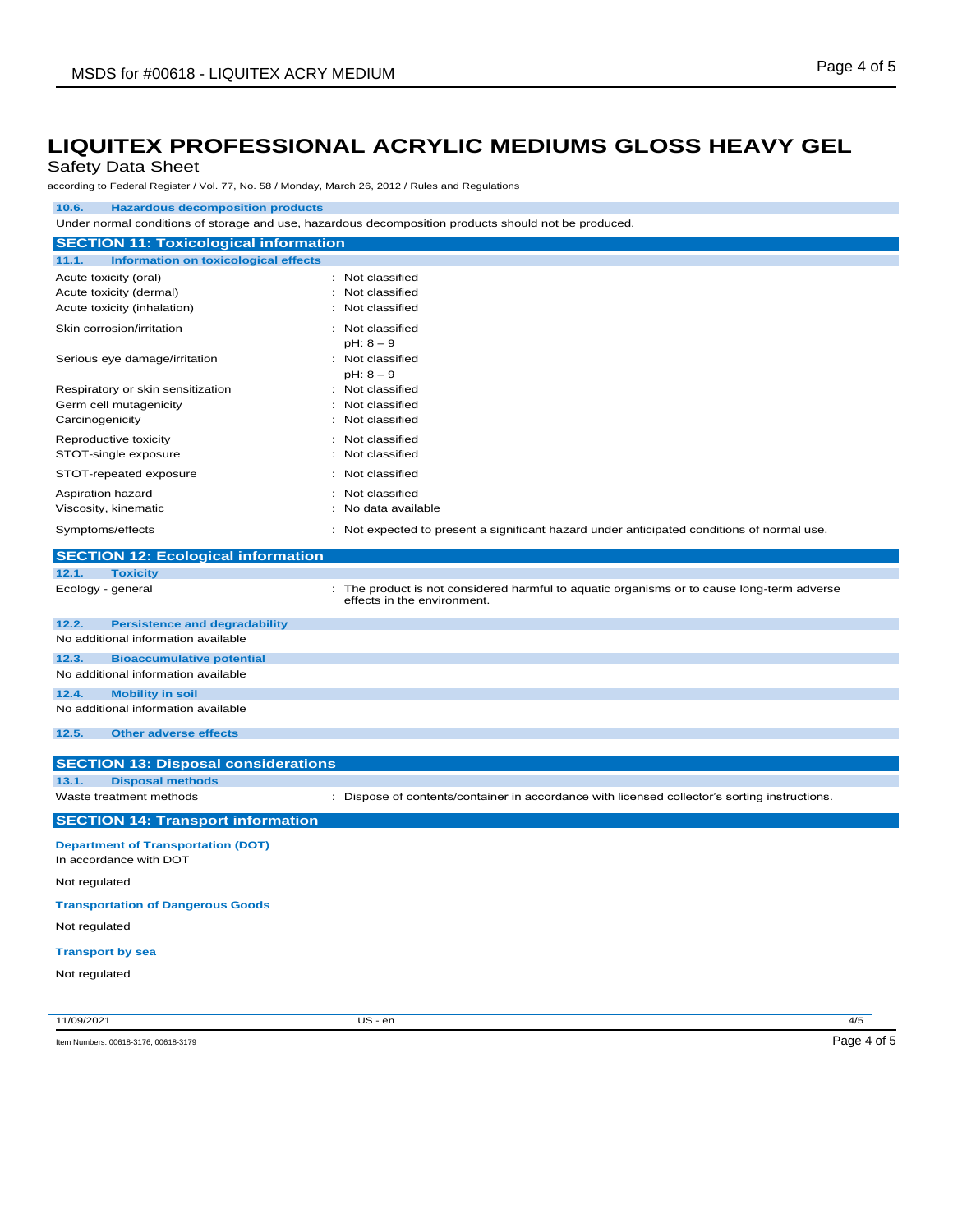## Safety Data Sheet

according to Federal Register / Vol. 77, No. 58 / Monday, March 26, 2012 / Rules and Regulations

### **10.6. Hazardous decomposition products**

Under normal conditions of storage and use, hazardous decomposition products should not be produced.

| <b>SECTION 11: Toxicological information</b>         |                                                                                            |  |  |  |
|------------------------------------------------------|--------------------------------------------------------------------------------------------|--|--|--|
| <b>Information on toxicological effects</b><br>11.1. |                                                                                            |  |  |  |
| Acute toxicity (oral)                                | : Not classified                                                                           |  |  |  |
| Acute toxicity (dermal)                              | : Not classified                                                                           |  |  |  |
| Acute toxicity (inhalation)                          | : Not classified                                                                           |  |  |  |
| Skin corrosion/irritation                            | : Not classified<br>$pH: 8 - 9$                                                            |  |  |  |
| Serious eye damage/irritation                        | : Not classified<br>$pH: 8 - 9$                                                            |  |  |  |
| Respiratory or skin sensitization                    | : Not classified                                                                           |  |  |  |
| Germ cell mutagenicity                               | : Not classified                                                                           |  |  |  |
| Carcinogenicity                                      | : Not classified                                                                           |  |  |  |
| Reproductive toxicity                                | : Not classified                                                                           |  |  |  |
| STOT-single exposure                                 | : Not classified                                                                           |  |  |  |
| STOT-repeated exposure                               | : Not classified                                                                           |  |  |  |
| Aspiration hazard                                    | : Not classified                                                                           |  |  |  |
| Viscosity, kinematic                                 | : No data available                                                                        |  |  |  |
| Symptoms/effects                                     | : Not expected to present a significant hazard under anticipated conditions of normal use. |  |  |  |

|                                          | <b>SECTION 12: Ecological information</b>  |                                                                                                                           |  |  |
|------------------------------------------|--------------------------------------------|---------------------------------------------------------------------------------------------------------------------------|--|--|
| 12.1.                                    | <b>Toxicity</b>                            |                                                                                                                           |  |  |
|                                          | Ecology - general                          | : The product is not considered harmful to aquatic organisms or to cause long-term adverse<br>effects in the environment. |  |  |
| 12.2.                                    | <b>Persistence and degradability</b>       |                                                                                                                           |  |  |
|                                          | No additional information available        |                                                                                                                           |  |  |
| 12.3.                                    | <b>Bioaccumulative potential</b>           |                                                                                                                           |  |  |
|                                          | No additional information available        |                                                                                                                           |  |  |
| 12.4.                                    | <b>Mobility in soil</b>                    |                                                                                                                           |  |  |
|                                          | No additional information available        |                                                                                                                           |  |  |
| 12.5.                                    | <b>Other adverse effects</b>               |                                                                                                                           |  |  |
|                                          |                                            |                                                                                                                           |  |  |
|                                          | <b>SECTION 13: Disposal considerations</b> |                                                                                                                           |  |  |
| 13.1.                                    | <b>Disposal methods</b>                    |                                                                                                                           |  |  |
|                                          | Waste treatment methods                    | : Dispose of contents/container in accordance with licensed collector's sorting instructions.                             |  |  |
| <b>SECTION 14: Transport information</b> |                                            |                                                                                                                           |  |  |
|                                          | <b>Department of Transportation (DOT)</b>  |                                                                                                                           |  |  |

## In accordance with DOT

### Not regulated

**Transportation of Dangerous Goods**

Not regulated

#### **Transport by sea**

Not regulated

11/09/2021 US - en 4/5